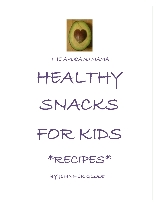

### THE AVOCADO MAMA

HEALTHY SNACKS

FOR KIDS

\*RECIPES\*

BY JENNIFER GLOODT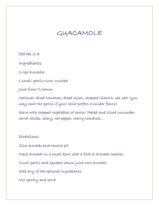## GUACAMOLE

Serves 2-3

Ingredients:

2 ripe avocados

1 small garlic clove, crushed

Juice from ½ lemon

Optional: diced tomatoes, diced onion, chopped cilantro, sea salt (you may omit the garlic if your child prefers a milder flavor)

Serve with chopped vegetables of choice- Peeled and sliced cucumber, carrot sticks, celery, red pepper, cherry tomatoes…

Directions:

Slice avocado and remove pit.

Mash avocado in a small bowl with a fork or avocado masher.

Crush garlic and squeeze lemon juice onto avocado.

Add any of the optional ingredients.

Mix gently and serve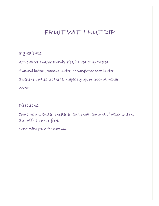## FRUIT WITH NUT DIP

### Ingredients:

Apple slices and/or strawberries, halved or quartered Almond butter , peanut butter, or sunflower seed butter Sweetener: dates (soaked), maple syrup, or coconut nectar Water

### Directions:

Combine nut butter, sweetener, and small amount of water to thin. Stir with spoon or fork.

Serve with fruit for dipping.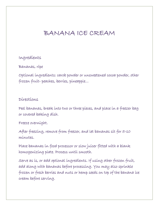## BANANA ICE CREAM

#### Ingredients

#### Bananas, ripe

Optional ingredients: carob powder or unsweetened cocoa powder, other frozen fruit- peaches, berries, pineapple…

### Directions

Peel bananas, break into two or three pieces, and place in a freezer bag or covered baking dish.

#### Freeze overnight.

After freezing, remove from freezer, and let bananas sit for 5-10 minutes.

Place bananas in food processor or slow juicer fitted with a blank homogenizing plate. Process until smooth.

Serve as is, or add optional ingredients. If using other frozen fruit, add along with bananas before processing. You may also sprinkle frozen or fresh berries and nuts or hemp seeds on top of the banana ice cream before serving.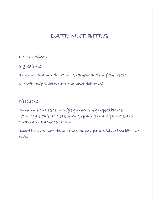# DATE NUT BITES

6-12 Servings

Ingredients

2 cups nuts- Almonds, walnuts, cashews and sunflower seeds

6-8 soft Medjool dates (or 3-4 coconut-date rolls)

Directions

Grind nuts and seeds in coffee grinder or high-speed blender. Walnuts are easier to break down by placing in a Ziploc bag, and crushing with a wooden spoon.

Knead the dates into the nut mixture, and form mixture into bite-size balls.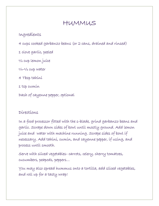## HUMMUS

Ingredients

4 cups cooked garbanzo beans (or 2 cans, drained and rinsed)

1 clove garlic, peeled

½ cup lemon juice

 $1/4 - 1/2$  cup water

4 Tbsp tahini

1 tsp cumin

Dash of cayenne pepper, optional

### Directions

In a food processor fitted with the s-blade, grind garbanzo beans and garlic. Scrape down sides of bowl until mostly ground. Add lemon juice and water with machine running. Scrape sides of bowl if necessary. Add tahini, cumin, and cayenne pepper, if using, and process until smooth.

Serve with sliced vegetables- carrots, celery, cherry tomatoes, cucumbers, peapods, peppers…

You may also spread hummus onto a tortilla, add sliced vegetables, and roll up for a tasty wrap!